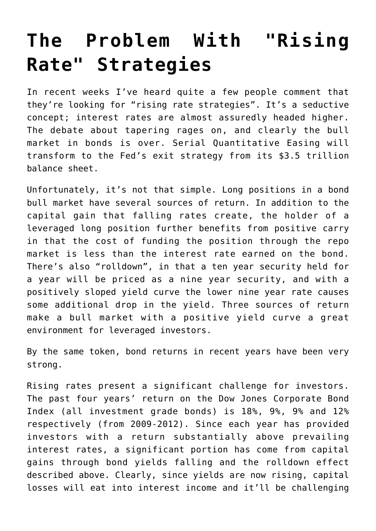## **[The Problem With "Rising](https://sl-advisors.com/the-problem-with-rising-rate-strategies) [Rate" Strategies](https://sl-advisors.com/the-problem-with-rising-rate-strategies)**

In recent weeks I've heard quite a few people comment that they're looking for "rising rate strategies". It's a seductive concept; interest rates are almost assuredly headed higher. The debate about tapering rages on, and clearly the bull market in bonds is over. Serial Quantitative Easing will transform to the Fed's exit strategy from its \$3.5 trillion balance sheet.

Unfortunately, it's not that simple. Long positions in a bond bull market have several sources of return. In addition to the capital gain that falling rates create, the holder of a leveraged long position further benefits from positive carry in that the cost of funding the position through the repo market is less than the interest rate earned on the bond. There's also "rolldown", in that a ten year security held for a year will be priced as a nine year security, and with a positively sloped yield curve the lower nine year rate causes some additional drop in the yield. Three sources of return make a bull market with a positive yield curve a great environment for leveraged investors.

By the same token, bond returns in recent years have been very strong.

Rising rates present a significant challenge for investors. The past four years' return on the Dow Jones Corporate Bond Index (all investment grade bonds) is 18%, 9%, 9% and 12% respectively (from 2009-2012). Since each year has provided investors with a return substantially above prevailing interest rates, a significant portion has come from capital gains through bond yields falling and the rolldown effect described above. Clearly, since yields are now rising, capital losses will eat into interest income and it'll be challenging